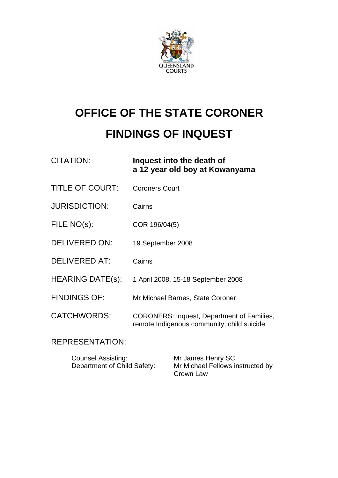

# **OFFICE OF THE STATE CORONER FINDINGS OF INQUEST**

| <b>CITATION:</b>        | Inquest into the death of<br>a 12 year old boy at Kowanyama                                     |
|-------------------------|-------------------------------------------------------------------------------------------------|
| <b>TITLE OF COURT:</b>  | <b>Coroners Court</b>                                                                           |
| <b>JURISDICTION:</b>    | Cairns                                                                                          |
| FILE NO(s):             | COR 196/04(5)                                                                                   |
| <b>DELIVERED ON:</b>    | 19 September 2008                                                                               |
| <b>DELIVERED AT:</b>    | Cairns                                                                                          |
| <b>HEARING DATE(s):</b> | 1 April 2008, 15-18 September 2008                                                              |
| <b>FINDINGS OF:</b>     | Mr Michael Barnes, State Coroner                                                                |
| <b>CATCHWORDS:</b>      | <b>CORONERS: Inquest, Department of Families,</b><br>remote Indigenous community, child suicide |

# REPRESENTATION:

Counsel Assisting: Mr James Henry SC<br>Department of Child Safety: Mr Michael Fellows in

Mr Michael Fellows instructed by Crown Law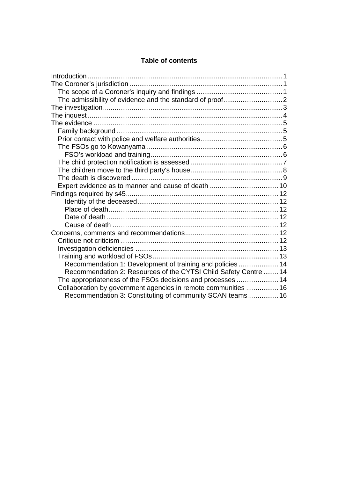#### **Table of contents**

| Recommendation 1: Development of training and policies  14       |  |
|------------------------------------------------------------------|--|
| Recommendation 2: Resources of the CYTSI Child Safety Centre  14 |  |
| The appropriateness of the FSOs decisions and processes 14       |  |
| Collaboration by government agencies in remote communities  16   |  |
| Recommendation 3: Constituting of community SCAN teams 16        |  |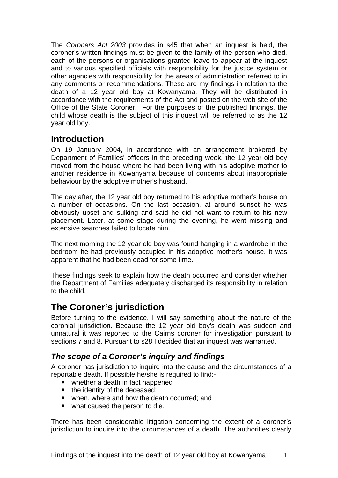<span id="page-2-0"></span>The *Coroners Act 2003* provides in s45 that when an inquest is held, the coroner's written findings must be given to the family of the person who died, each of the persons or organisations granted leave to appear at the inquest and to various specified officials with responsibility for the justice system or other agencies with responsibility for the areas of administration referred to in any comments or recommendations. These are my findings in relation to the death of a 12 year old boy at Kowanyama. They will be distributed in accordance with the requirements of the Act and posted on the web site of the Office of the State Coroner. For the purposes of the published findings, the child whose death is the subject of this inquest will be referred to as the 12 year old boy.

# **Introduction**

On 19 January 2004, in accordance with an arrangement brokered by Department of Families' officers in the preceding week, the 12 year old boy moved from the house where he had been living with his adoptive mother to another residence in Kowanyama because of concerns about inappropriate behaviour by the adoptive mother's husband.

The day after, the 12 year old boy returned to his adoptive mother's house on a number of occasions. On the last occasion, at around sunset he was obviously upset and sulking and said he did not want to return to his new placement. Later, at some stage during the evening, he went missing and extensive searches failed to locate him.

The next morning the 12 year old boy was found hanging in a wardrobe in the bedroom he had previously occupied in his adoptive mother's house. It was apparent that he had been dead for some time.

These findings seek to explain how the death occurred and consider whether the Department of Families adequately discharged its responsibility in relation to the child.

# **The Coroner's jurisdiction**

Before turning to the evidence, I will say something about the nature of the coronial jurisdiction. Because the 12 year old boy's death was sudden and unnatural it was reported to the Cairns coroner for investigation pursuant to sections 7 and 8. Pursuant to s28 I decided that an inquest was warranted.

# *The scope of a Coroner's inquiry and findings*

A coroner has jurisdiction to inquire into the cause and the circumstances of a reportable death. If possible he/she is required to find:-

- $\bullet$  whether a death in fact happened
- the identity of the deceased:
- when, where and how the death occurred; and
- what caused the person to die.

There has been considerable litigation concerning the extent of a coroner's jurisdiction to inquire into the circumstances of a death. The authorities clearly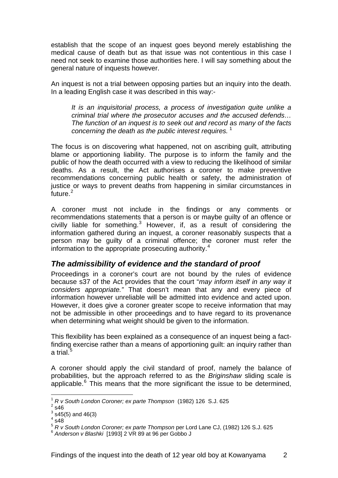<span id="page-3-0"></span>establish that the scope of an inquest goes beyond merely establishing the medical cause of death but as that issue was not contentious in this case I need not seek to examine those authorities here. I will say something about the general nature of inquests however.

An inquest is not a trial between opposing parties but an inquiry into the death. In a leading English case it was described in this way:-

*It is an inquisitorial process, a process of investigation quite unlike a criminal trial where the prosecutor accuses and the accused defends… The function of an inquest is to seek out and record as many of the facts concerning the death as the public interest requires.* [1](#page-3-1)

The focus is on discovering what happened, not on ascribing guilt, attributing blame or apportioning liability. The purpose is to inform the family and the public of how the death occurred with a view to reducing the likelihood of similar deaths. As a result, the Act authorises a coroner to make preventive recommendations concerning public health or safety, the administration of justice or ways to prevent deaths from happening in similar circumstances in future.<sup>[2](#page-3-2)</sup>

A coroner must not include in the findings or any comments or recommendations statements that a person is or maybe guilty of an offence or civilly liable for something. $3$  However, if, as a result of considering the information gathered during an inquest, a coroner reasonably suspects that a person may be guilty of a criminal offence; the coroner must refer the information to the appropriate prosecuting authority.<sup>[4](#page-3-4)</sup>

# *The admissibility of evidence and the standard of proof*

Proceedings in a coroner's court are not bound by the rules of evidence because s37 of the Act provides that the court "*may inform itself in any way it considers appropriate."* That doesn't mean that any and every piece of information however unreliable will be admitted into evidence and acted upon. However, it does give a coroner greater scope to receive information that may not be admissible in other proceedings and to have regard to its provenance when determining what weight should be given to the information.

This flexibility has been explained as a consequence of an inquest being a factfinding exercise rather than a means of apportioning guilt: an inquiry rather than a trial. $^5\,$  $^5\,$  $^5\,$ 

A coroner should apply the civil standard of proof, namely the balance of probabilities, but the approach referred to as the *Briginshaw* sliding scale is applicable. $6$  This means that the more significant the issue to be determined,

l

 $4\,$ s48 $\overline{)}$ 

<sup>1</sup> *R v South London Coroner; ex parte Thompson* (1982) 126 S.J. 625 2

<span id="page-3-3"></span><span id="page-3-2"></span><span id="page-3-1"></span> $2$  s46

 $^3$  s45(5) and 46(3)

<span id="page-3-5"></span><span id="page-3-4"></span><sup>&</sup>lt;sup>5</sup> *R v South London Coroner; ex parte Thompson* per Lord Lane CJ, (1982) 126 S.J. 625<br><sup>6</sup> Anderson v Blashki [1993] 2 VR 89 at 96 per Gobbo J

<span id="page-3-6"></span>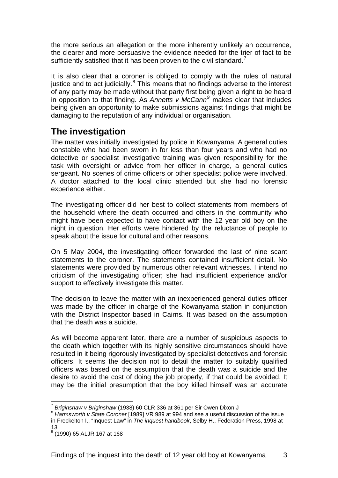<span id="page-4-0"></span>the more serious an allegation or the more inherently unlikely an occurrence, the clearer and more persuasive the evidence needed for the trier of fact to be sufficiently satisfied that it has been proven to the civil standard.<sup>[7](#page-4-1)</sup>

It is also clear that a coroner is obliged to comply with the rules of natural justice and to act judicially. $8$  This means that no findings adverse to the interest of any party may be made without that party first being given a right to be heard in opposition to that finding. As *Annetts v McCann[9](#page-4-3)* makes clear that includes being given an opportunity to make submissions against findings that might be damaging to the reputation of any individual or organisation.

# **The investigation**

The matter was initially investigated by police in Kowanyama. A general duties constable who had been sworn in for less than four years and who had no detective or specialist investigative training was given responsibility for the task with oversight or advice from her officer in charge, a general duties sergeant. No scenes of crime officers or other specialist police were involved. A doctor attached to the local clinic attended but she had no forensic experience either.

The investigating officer did her best to collect statements from members of the household where the death occurred and others in the community who might have been expected to have contact with the 12 year old boy on the night in question. Her efforts were hindered by the reluctance of people to speak about the issue for cultural and other reasons.

On 5 May 2004, the investigating officer forwarded the last of nine scant statements to the coroner. The statements contained insufficient detail. No statements were provided by numerous other relevant witnesses. I intend no criticism of the investigating officer; she had insufficient experience and/or support to effectively investigate this matter.

The decision to leave the matter with an inexperienced general duties officer was made by the officer in charge of the Kowanyama station in conjunction with the District Inspector based in Cairns. It was based on the assumption that the death was a suicide.

As will become apparent later, there are a number of suspicious aspects to the death which together with its highly sensitive circumstances should have resulted in it being rigorously investigated by specialist detectives and forensic officers. It seems the decision not to detail the matter to suitably qualified officers was based on the assumption that the death was a suicide and the desire to avoid the cost of doing the job properly, if that could be avoided. It may be the initial presumption that the boy killed himself was an accurate

l

<span id="page-4-2"></span><span id="page-4-1"></span><sup>&</sup>lt;sup>7</sup> *Briginshaw v Briginshaw* (1938) 60 CLR 336 at 361 per Sir Owen Dixon J<br><sup>8</sup> Harmsworth v State Coroner [1989] VR 989 at 994 and see a useful discussion of the issue in Freckelton I., "Inquest Law" in *The inquest handbook*, Selby H., Federation Press, 1998 at 13

<span id="page-4-3"></span><sup>&</sup>lt;sup>9</sup> (1990) 65 ALJR 167 at 168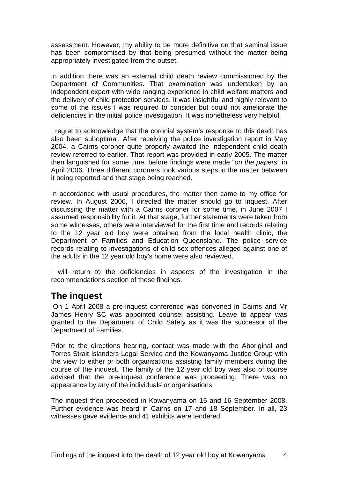<span id="page-5-0"></span>assessment. However, my ability to be more definitive on that seminal issue has been compromised by that being presumed without the matter being appropriately investigated from the outset.

In addition there was an external child death review commissioned by the Department of Communities. That examination was undertaken by an independent expert with wide ranging experience in child welfare matters and the delivery of child protection services. It was insightful and highly relevant to some of the issues I was required to consider but could not ameliorate the deficiencies in the initial police investigation. It was nonetheless very helpful.

I regret to acknowledge that the coronial system's response to this death has also been suboptimal. After receiving the police investigation report in May 2004, a Cairns coroner quite properly awaited the independent child death review referred to earlier. That report was provided in early 2005. The matter then languished for some time, before findings were made "*on the papers*" in April 2006. Three different coroners took various steps in the matter between it being reported and that stage being reached.

In accordance with usual procedures, the matter then came to my office for review. In August 2006, I directed the matter should go to inquest. After discussing the matter with a Cairns coroner for some time, in June 2007 I assumed responsibility for it. At that stage, further statements were taken from some witnesses, others were interviewed for the first time and records relating to the 12 year old boy were obtained from the local health clinic, the Department of Families and Education Queensland. The police service records relating to investigations of child sex offences alleged against one of the adults in the 12 year old boy's home were also reviewed.

I will return to the deficiencies in aspects of the investigation in the recommendations section of these findings.

# **The inquest**

 On 1 April 2008 a pre-inquest conference was convened in Cairns and Mr James Henry SC was appointed counsel assisting. Leave to appear was granted to the Department of Child Safety as it was the successor of the Department of Families.

Prior to the directions hearing, contact was made with the Aboriginal and Torres Strait Islanders Legal Service and the Kowanyama Justice Group with the view to either or both organisations assisting family members during the course of the inquest. The family of the 12 year old boy was also of course advised that the pre-inquest conference was proceeding. There was no appearance by any of the individuals or organisations.

The inquest then proceeded in Kowanyama on 15 and 16 September 2008. Further evidence was heard in Cairns on 17 and 18 September. In all, 23 witnesses gave evidence and 41 exhibits were tendered.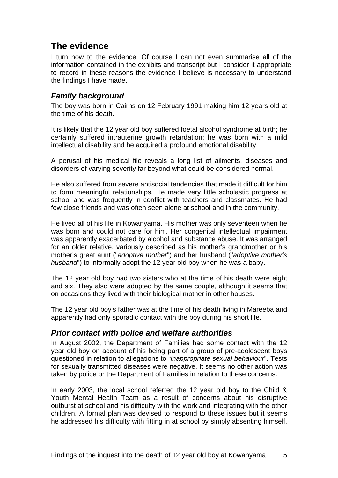# <span id="page-6-0"></span>**The evidence**

I turn now to the evidence. Of course I can not even summarise all of the information contained in the exhibits and transcript but I consider it appropriate to record in these reasons the evidence I believe is necessary to understand the findings I have made.

# *Family background*

The boy was born in Cairns on 12 February 1991 making him 12 years old at the time of his death.

It is likely that the 12 year old boy suffered foetal alcohol syndrome at birth; he certainly suffered intrauterine growth retardation; he was born with a mild intellectual disability and he acquired a profound emotional disability.

A perusal of his medical file reveals a long list of ailments, diseases and disorders of varying severity far beyond what could be considered normal.

He also suffered from severe antisocial tendencies that made it difficult for him to form meaningful relationships. He made very little scholastic progress at school and was frequently in conflict with teachers and classmates. He had few close friends and was often seen alone at school and in the community.

He lived all of his life in Kowanyama. His mother was only seventeen when he was born and could not care for him. Her congenital intellectual impairment was apparently exacerbated by alcohol and substance abuse. It was arranged for an older relative, variously described as his mother's grandmother or his mother's great aunt ("*adoptive mother*") and her husband ("*adoptive mother's husband*") to informally adopt the 12 year old boy when he was a baby.

The 12 year old boy had two sisters who at the time of his death were eight and six. They also were adopted by the same couple, although it seems that on occasions they lived with their biological mother in other houses.

The 12 year old boy's father was at the time of his death living in Mareeba and apparently had only sporadic contact with the boy during his short life.

## *Prior contact with police and welfare authorities*

In August 2002, the Department of Families had some contact with the 12 year old boy on account of his being part of a group of pre-adolescent boys questioned in relation to allegations to "*inappropriate sexual behaviour*". Tests for sexually transmitted diseases were negative. It seems no other action was taken by police or the Department of Families in relation to these concerns.

In early 2003, the local school referred the 12 year old boy to the Child & Youth Mental Health Team as a result of concerns about his disruptive outburst at school and his difficulty with the work and integrating with the other children. A formal plan was devised to respond to these issues but it seems he addressed his difficulty with fitting in at school by simply absenting himself.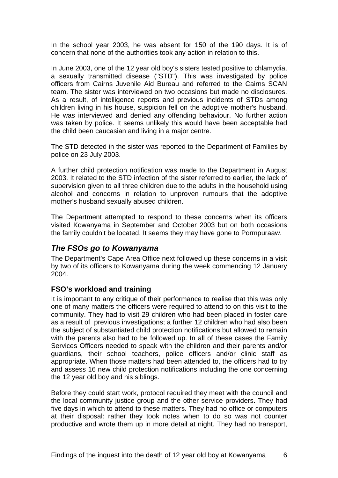<span id="page-7-0"></span>In the school year 2003, he was absent for 150 of the 190 days. It is of concern that none of the authorities took any action in relation to this.

In June 2003, one of the 12 year old boy's sisters tested positive to chlamydia, a sexually transmitted disease ("STD"). This was investigated by police officers from Cairns Juvenile Aid Bureau and referred to the Cairns SCAN team. The sister was interviewed on two occasions but made no disclosures. As a result, of intelligence reports and previous incidents of STDs among children living in his house, suspicion fell on the adoptive mother's husband. He was interviewed and denied any offending behaviour. No further action was taken by police. It seems unlikely this would have been acceptable had the child been caucasian and living in a major centre.

The STD detected in the sister was reported to the Department of Families by police on 23 July 2003.

A further child protection notification was made to the Department in August 2003. It related to the STD infection of the sister referred to earlier, the lack of supervision given to all three children due to the adults in the household using alcohol and concerns in relation to unproven rumours that the adoptive mother's husband sexually abused children.

The Department attempted to respond to these concerns when its officers visited Kowanyama in September and October 2003 but on both occasions the family couldn't be located. It seems they may have gone to Pormpuraaw.

## *The FSOs go to Kowanyama*

The Department's Cape Area Office next followed up these concerns in a visit by two of its officers to Kowanyama during the week commencing 12 January 2004.

#### **FSO's workload and training**

It is important to any critique of their performance to realise that this was only one of many matters the officers were required to attend to on this visit to the community. They had to visit 29 children who had been placed in foster care as a result of previous investigations; a further 12 children who had also been the subject of substantiated child protection notifications but allowed to remain with the parents also had to be followed up. In all of these cases the Family Services Officers needed to speak with the children and their parents and/or guardians, their school teachers, police officers and/or clinic staff as appropriate. When those matters had been attended to, the officers had to try and assess 16 new child protection notifications including the one concerning the 12 year old boy and his siblings.

Before they could start work, protocol required they meet with the council and the local community justice group and the other service providers. They had five days in which to attend to these matters. They had no office or computers at their disposal: rather they took notes when to do so was not counter productive and wrote them up in more detail at night. They had no transport,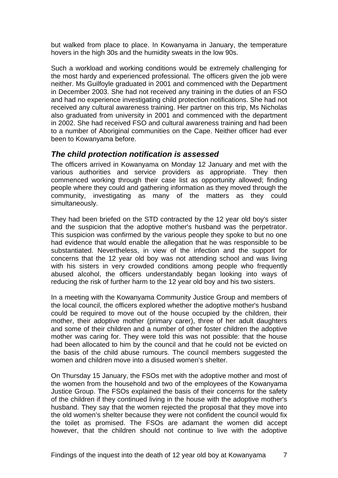<span id="page-8-0"></span>but walked from place to place. In Kowanyama in January, the temperature hovers in the high 30s and the humidity sweats in the low 90s.

Such a workload and working conditions would be extremely challenging for the most hardy and experienced professional. The officers given the job were neither. Ms Guilfoyle graduated in 2001 and commenced with the Department in December 2003. She had not received any training in the duties of an FSO and had no experience investigating child protection notifications. She had not received any cultural awareness training. Her partner on this trip, Ms Nicholas also graduated from university in 2001 and commenced with the department in 2002. She had received FSO and cultural awareness training and had been to a number of Aboriginal communities on the Cape. Neither officer had ever been to Kowanyama before.

#### *The child protection notification is assessed*

The officers arrived in Kowanyama on Monday 12 January and met with the various authorities and service providers as appropriate. They then commenced working through their case list as opportunity allowed; finding people where they could and gathering information as they moved through the community, investigating as many of the matters as they could simultaneously.

They had been briefed on the STD contracted by the 12 year old boy's sister and the suspicion that the adoptive mother's husband was the perpetrator. This suspicion was confirmed by the various people they spoke to but no one had evidence that would enable the allegation that he was responsible to be substantiated. Nevertheless, in view of the infection and the support for concerns that the 12 year old boy was not attending school and was living with his sisters in very crowded conditions among people who frequently abused alcohol, the officers understandably began looking into ways of reducing the risk of further harm to the 12 year old boy and his two sisters.

In a meeting with the Kowanyama Community Justice Group and members of the local council, the officers explored whether the adoptive mother's husband could be required to move out of the house occupied by the children, their mother, their adoptive mother (primary carer), three of her adult daughters and some of their children and a number of other foster children the adoptive mother was caring for. They were told this was not possible: that the house had been allocated to him by the council and that he could not be evicted on the basis of the child abuse rumours. The council members suggested the women and children move into a disused women's shelter.

On Thursday 15 January, the FSOs met with the adoptive mother and most of the women from the household and two of the employees of the Kowanyama Justice Group. The FSOs explained the basis of their concerns for the safety of the children if they continued living in the house with the adoptive mother's husband. They say that the women rejected the proposal that they move into the old women's shelter because they were not confident the council would fix the toilet as promised. The FSOs are adamant the women did accept however, that the children should not continue to live with the adoptive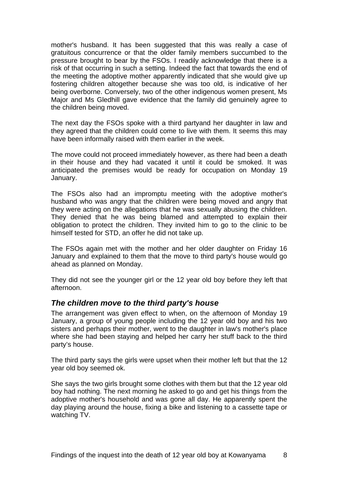<span id="page-9-0"></span>mother's husband. It has been suggested that this was really a case of gratuitous concurrence or that the older family members succumbed to the pressure brought to bear by the FSOs. I readily acknowledge that there is a risk of that occurring in such a setting. Indeed the fact that towards the end of the meeting the adoptive mother apparently indicated that she would give up fostering children altogether because she was too old, is indicative of her being overborne. Conversely, two of the other indigenous women present, Ms Major and Ms Gledhill gave evidence that the family did genuinely agree to the children being moved.

The next day the FSOs spoke with a third partyand her daughter in law and they agreed that the children could come to live with them. It seems this may have been informally raised with them earlier in the week.

The move could not proceed immediately however, as there had been a death in their house and they had vacated it until it could be smoked. It was anticipated the premises would be ready for occupation on Monday 19 January.

The FSOs also had an impromptu meeting with the adoptive mother's husband who was angry that the children were being moved and angry that they were acting on the allegations that he was sexually abusing the children. They denied that he was being blamed and attempted to explain their obligation to protect the children. They invited him to go to the clinic to be himself tested for STD, an offer he did not take up.

The FSOs again met with the mother and her older daughter on Friday 16 January and explained to them that the move to third party's house would go ahead as planned on Monday.

They did not see the younger girl or the 12 year old boy before they left that afternoon.

#### *The children move to the third party's house*

The arrangement was given effect to when, on the afternoon of Monday 19 January, a group of young people including the 12 year old boy and his two sisters and perhaps their mother, went to the daughter in law's mother's place where she had been staying and helped her carry her stuff back to the third party's house.

The third party says the girls were upset when their mother left but that the 12 year old boy seemed ok.

She says the two girls brought some clothes with them but that the 12 year old boy had nothing. The next morning he asked to go and get his things from the adoptive mother's household and was gone all day. He apparently spent the day playing around the house, fixing a bike and listening to a cassette tape or watching TV.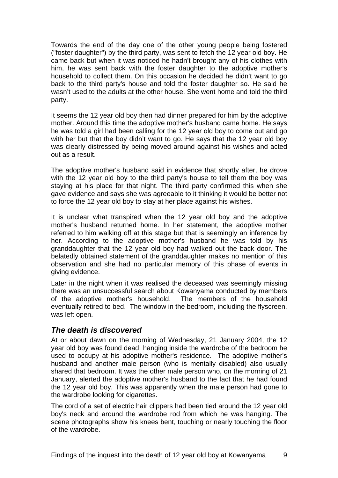<span id="page-10-0"></span>Towards the end of the day one of the other young people being fostered ("foster daughter") by the third party, was sent to fetch the 12 year old boy. He came back but when it was noticed he hadn't brought any of his clothes with him, he was sent back with the foster daughter to the adoptive mother's household to collect them. On this occasion he decided he didn't want to go back to the third party's house and told the foster daughter so. He said he wasn't used to the adults at the other house. She went home and told the third party.

It seems the 12 year old boy then had dinner prepared for him by the adoptive mother. Around this time the adoptive mother's husband came home. He says he was told a girl had been calling for the 12 year old boy to come out and go with her but that the boy didn't want to go. He says that the 12 year old boy was clearly distressed by being moved around against his wishes and acted out as a result.

The adoptive mother's husband said in evidence that shortly after, he drove with the 12 year old boy to the third party's house to tell them the boy was staying at his place for that night. The third party confirmed this when she gave evidence and says she was agreeable to it thinking it would be better not to force the 12 year old boy to stay at her place against his wishes.

It is unclear what transpired when the 12 year old boy and the adoptive mother's husband returned home. In her statement, the adoptive mother referred to him walking off at this stage but that is seemingly an inference by her. According to the adoptive mother's husband he was told by his granddaughter that the 12 year old boy had walked out the back door. The belatedly obtained statement of the granddaughter makes no mention of this observation and she had no particular memory of this phase of events in giving evidence.

Later in the night when it was realised the deceased was seemingly missing there was an unsuccessful search about Kowanyama conducted by members of the adoptive mother's household. The members of the household eventually retired to bed. The window in the bedroom, including the flyscreen, was left open.

## *The death is discovered*

At or about dawn on the morning of Wednesday, 21 January 2004, the 12 year old boy was found dead, hanging inside the wardrobe of the bedroom he used to occupy at his adoptive mother's residence. The adoptive mother's husband and another male person (who is mentally disabled) also usually shared that bedroom. It was the other male person who, on the morning of 21 January, alerted the adoptive mother's husband to the fact that he had found the 12 year old boy. This was apparently when the male person had gone to the wardrobe looking for cigarettes.

The cord of a set of electric hair clippers had been tied around the 12 year old boy's neck and around the wardrobe rod from which he was hanging. The scene photographs show his knees bent, touching or nearly touching the floor of the wardrobe.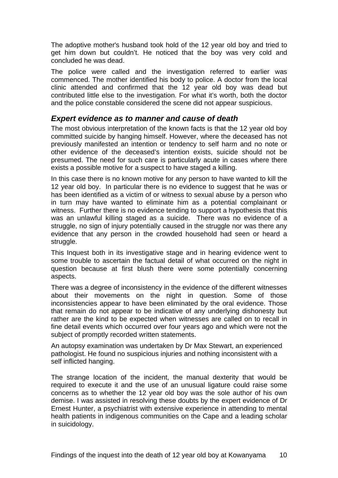<span id="page-11-0"></span>The adoptive mother's husband took hold of the 12 year old boy and tried to get him down but couldn't. He noticed that the boy was very cold and concluded he was dead.

The police were called and the investigation referred to earlier was commenced. The mother identified his body to police. A doctor from the local clinic attended and confirmed that the 12 year old boy was dead but contributed little else to the investigation. For what it's worth, both the doctor and the police constable considered the scene did not appear suspicious.

#### *Expert evidence as to manner and cause of death*

The most obvious interpretation of the known facts is that the 12 year old boy committed suicide by hanging himself. However, where the deceased has not previously manifested an intention or tendency to self harm and no note or other evidence of the deceased's intention exists, suicide should not be presumed. The need for such care is particularly acute in cases where there exists a possible motive for a suspect to have staged a killing.

In this case there is no known motive for any person to have wanted to kill the 12 year old boy. In particular there is no evidence to suggest that he was or has been identified as a victim of or witness to sexual abuse by a person who in turn may have wanted to eliminate him as a potential complainant or witness. Further there is no evidence tending to support a hypothesis that this was an unlawful killing staged as a suicide. There was no evidence of a struggle, no sign of injury potentially caused in the struggle nor was there any evidence that any person in the crowded household had seen or heard a struggle.

This Inquest both in its investigative stage and in hearing evidence went to some trouble to ascertain the factual detail of what occurred on the night in question because at first blush there were some potentially concerning aspects.

There was a degree of inconsistency in the evidence of the different witnesses about their movements on the night in question. Some of those inconsistencies appear to have been eliminated by the oral evidence. Those that remain do not appear to be indicative of any underlying dishonesty but rather are the kind to be expected when witnesses are called on to recall in fine detail events which occurred over four years ago and which were not the subject of promptly recorded written statements.

An autopsy examination was undertaken by Dr Max Stewart, an experienced pathologist. He found no suspicious injuries and nothing inconsistent with a self inflicted hanging.

The strange location of the incident, the manual dexterity that would be required to execute it and the use of an unusual ligature could raise some concerns as to whether the 12 year old boy was the sole author of his own demise. I was assisted in resolving these doubts by the expert evidence of Dr Ernest Hunter, a psychiatrist with extensive experience in attending to mental health patients in indigenous communities on the Cape and a leading scholar in suicidology.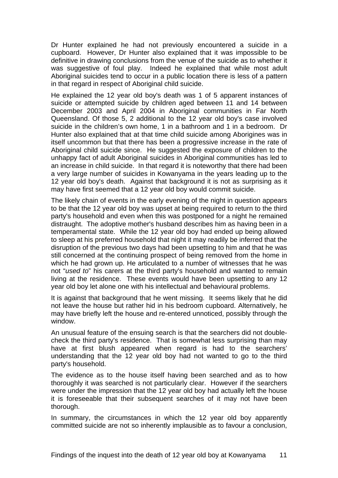Dr Hunter explained he had not previously encountered a suicide in a cupboard. However, Dr Hunter also explained that it was impossible to be definitive in drawing conclusions from the venue of the suicide as to whether it was suggestive of foul play. Indeed he explained that while most adult Aboriginal suicides tend to occur in a public location there is less of a pattern in that regard in respect of Aboriginal child suicide.

He explained the 12 year old boy's death was 1 of 5 apparent instances of suicide or attempted suicide by children aged between 11 and 14 between December 2003 and April 2004 in Aboriginal communities in Far North Queensland. Of those 5, 2 additional to the 12 year old boy's case involved suicide in the children's own home, 1 in a bathroom and 1 in a bedroom. Dr Hunter also explained that at that time child suicide among Aborigines was in itself uncommon but that there has been a progressive increase in the rate of Aboriginal child suicide since. He suggested the exposure of children to the unhappy fact of adult Aboriginal suicides in Aboriginal communities has led to an increase in child suicide. In that regard it is noteworthy that there had been a very large number of suicides in Kowanyama in the years leading up to the 12 year old boy's death. Against that background it is not as surprising as it may have first seemed that a 12 year old boy would commit suicide.

The likely chain of events in the early evening of the night in question appears to be that the 12 year old boy was upset at being required to return to the third party's household and even when this was postponed for a night he remained distraught. The adoptive mother's husband describes him as having been in a temperamental state. While the 12 year old boy had ended up being allowed to sleep at his preferred household that night it may readily be inferred that the disruption of the previous two days had been upsetting to him and that he was still concerned at the continuing prospect of being removed from the home in which he had grown up. He articulated to a number of witnesses that he was not "*used to*" his carers at the third party's household and wanted to remain living at the residence. These events would have been upsetting to any 12 year old boy let alone one with his intellectual and behavioural problems.

It is against that background that he went missing. It seems likely that he did not leave the house but rather hid in his bedroom cupboard. Alternatively, he may have briefly left the house and re-entered unnoticed, possibly through the window.

An unusual feature of the ensuing search is that the searchers did not doublecheck the third party's residence. That is somewhat less surprising than may have at first blush appeared when regard is had to the searchers' understanding that the 12 year old boy had not wanted to go to the third party's household.

The evidence as to the house itself having been searched and as to how thoroughly it was searched is not particularly clear. However if the searchers were under the impression that the 12 year old boy had actually left the house it is foreseeable that their subsequent searches of it may not have been thorough.

In summary, the circumstances in which the 12 year old boy apparently committed suicide are not so inherently implausible as to favour a conclusion,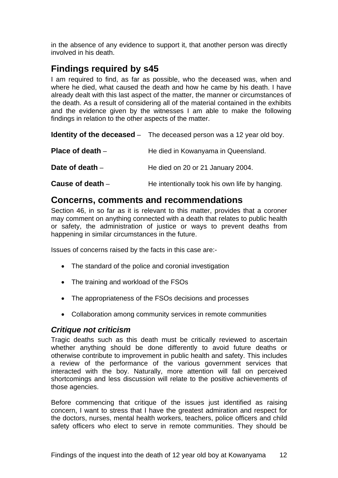<span id="page-13-0"></span>in the absence of any evidence to support it, that another person was directly involved in his death.

# **Findings required by s45**

I am required to find, as far as possible, who the deceased was, when and where he died, what caused the death and how he came by his death. I have already dealt with this last aspect of the matter, the manner or circumstances of the death. As a result of considering all of the material contained in the exhibits and the evidence given by the witnesses I am able to make the following findings in relation to the other aspects of the matter.

**Identity of the deceased** – The deceased person was a 12 year old boy.

| Place of death $-$ | He died in Kowanyama in Queensland.            |
|--------------------|------------------------------------------------|
| Date of death $-$  | He died on 20 or 21 January 2004.              |
| Cause of death $-$ | He intentionally took his own life by hanging. |

# **Concerns, comments and recommendations**

Section 46, in so far as it is relevant to this matter, provides that a coroner may comment on anything connected with a death that relates to public health or safety, the administration of justice or ways to prevent deaths from happening in similar circumstances in the future.

Issues of concerns raised by the facts in this case are:-

- The standard of the police and coronial investigation
- The training and workload of the FSOs
- The appropriateness of the FSOs decisions and processes
- Collaboration among community services in remote communities

## *Critique not criticism*

Tragic deaths such as this death must be critically reviewed to ascertain whether anything should be done differently to avoid future deaths or otherwise contribute to improvement in public health and safety. This includes a review of the performance of the various government services that interacted with the boy. Naturally, more attention will fall on perceived shortcomings and less discussion will relate to the positive achievements of those agencies.

Before commencing that critique of the issues just identified as raising concern, I want to stress that I have the greatest admiration and respect for the doctors, nurses, mental health workers, teachers, police officers and child safety officers who elect to serve in remote communities. They should be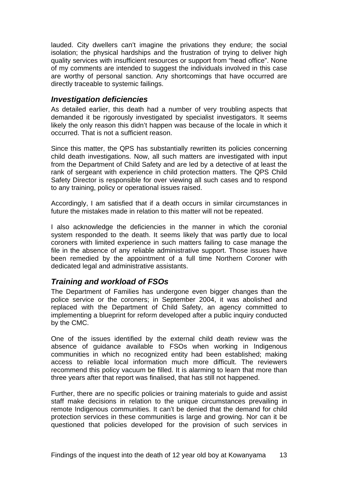<span id="page-14-0"></span>lauded. City dwellers can't imagine the privations they endure; the social isolation; the physical hardships and the frustration of trying to deliver high quality services with insufficient resources or support from "head office". None of my comments are intended to suggest the individuals involved in this case are worthy of personal sanction. Any shortcomings that have occurred are directly traceable to systemic failings.

## *Investigation deficiencies*

As detailed earlier, this death had a number of very troubling aspects that demanded it be rigorously investigated by specialist investigators. It seems likely the only reason this didn't happen was because of the locale in which it occurred. That is not a sufficient reason.

Since this matter, the QPS has substantially rewritten its policies concerning child death investigations. Now, all such matters are investigated with input from the Department of Child Safety and are led by a detective of at least the rank of sergeant with experience in child protection matters. The QPS Child Safety Director is responsible for over viewing all such cases and to respond to any training, policy or operational issues raised.

Accordingly, I am satisfied that if a death occurs in similar circumstances in future the mistakes made in relation to this matter will not be repeated.

I also acknowledge the deficiencies in the manner in which the coronial system responded to the death. It seems likely that was partly due to local coroners with limited experience in such matters failing to case manage the file in the absence of any reliable administrative support. Those issues have been remedied by the appointment of a full time Northern Coroner with dedicated legal and administrative assistants.

# *Training and workload of FSOs*

The Department of Families has undergone even bigger changes than the police service or the coroners; in September 2004, it was abolished and replaced with the Department of Child Safety, an agency committed to implementing a blueprint for reform developed after a public inquiry conducted by the CMC.

One of the issues identified by the external child death review was the absence of guidance available to FSOs when working in Indigenous communities in which no recognized entity had been established; making access to reliable local information much more difficult. The reviewers recommend this policy vacuum be filled. It is alarming to learn that more than three years after that report was finalised, that has still not happened.

Further, there are no specific policies or training materials to guide and assist staff make decisions in relation to the unique circumstances prevailing in remote Indigenous communities. It can't be denied that the demand for child protection services in these communities is large and growing. Nor can it be questioned that policies developed for the provision of such services in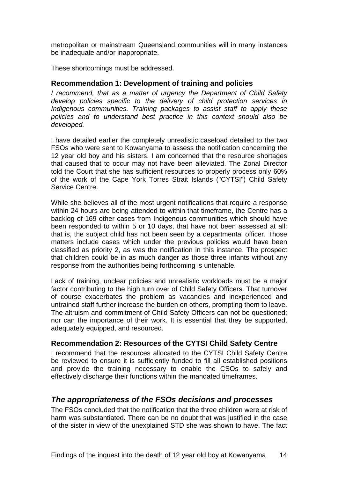<span id="page-15-0"></span>metropolitan or mainstream Queensland communities will in many instances be inadequate and/or inappropriate.

These shortcomings must be addressed.

#### **Recommendation 1: Development of training and policies**

*I recommend, that as a matter of urgency the Department of Child Safety develop policies specific to the delivery of child protection services in Indigenous communities. Training packages to assist staff to apply these policies and to understand best practice in this context should also be developed.* 

I have detailed earlier the completely unrealistic caseload detailed to the two FSOs who were sent to Kowanyama to assess the notification concerning the 12 year old boy and his sisters. I am concerned that the resource shortages that caused that to occur may not have been alleviated. The Zonal Director told the Court that she has sufficient resources to properly process only 60% of the work of the Cape York Torres Strait Islands ("CYTSI") Child Safety Service Centre.

While she believes all of the most urgent notifications that require a response within 24 hours are being attended to within that timeframe, the Centre has a backlog of 169 other cases from Indigenous communities which should have been responded to within 5 or 10 days, that have not been assessed at all; that is, the subject child has not been seen by a departmental officer. Those matters include cases which under the previous policies would have been classified as priority 2, as was the notification in this instance. The prospect that children could be in as much danger as those three infants without any response from the authorities being forthcoming is untenable.

Lack of training, unclear policies and unrealistic workloads must be a major factor contributing to the high turn over of Child Safety Officers. That turnover of course exacerbates the problem as vacancies and inexperienced and untrained staff further increase the burden on others, prompting them to leave. The altruism and commitment of Child Safety Officers can not be questioned; nor can the importance of their work. It is essential that they be supported, adequately equipped, and resourced.

#### **Recommendation 2: Resources of the CYTSI Child Safety Centre**

I recommend that the resources allocated to the CYTSI Child Safety Centre be reviewed to ensure it is sufficiently funded to fill all established positions and provide the training necessary to enable the CSOs to safely and effectively discharge their functions within the mandated timeframes.

## *The appropriateness of the FSOs decisions and processes*

The FSOs concluded that the notification that the three children were at risk of harm was substantiated. There can be no doubt that was justified in the case of the sister in view of the unexplained STD she was shown to have. The fact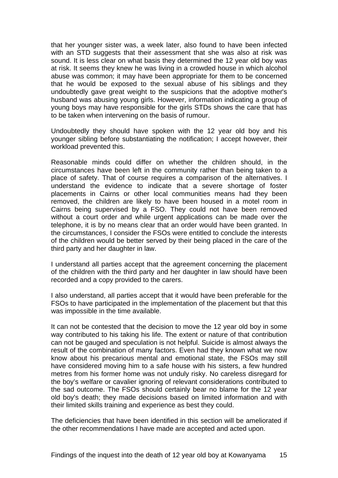that her younger sister was, a week later, also found to have been infected with an STD suggests that their assessment that she was also at risk was sound. It is less clear on what basis they determined the 12 year old boy was at risk. It seems they knew he was living in a crowded house in which alcohol abuse was common; it may have been appropriate for them to be concerned that he would be exposed to the sexual abuse of his siblings and they undoubtedly gave great weight to the suspicions that the adoptive mother's husband was abusing young girls. However, information indicating a group of young boys may have responsible for the girls STDs shows the care that has to be taken when intervening on the basis of rumour.

Undoubtedly they should have spoken with the 12 year old boy and his younger sibling before substantiating the notification; I accept however, their workload prevented this.

Reasonable minds could differ on whether the children should, in the circumstances have been left in the community rather than being taken to a place of safety. That of course requires a comparison of the alternatives. I understand the evidence to indicate that a severe shortage of foster placements in Cairns or other local communities means had they been removed, the children are likely to have been housed in a motel room in Cairns being supervised by a FSO. They could not have been removed without a court order and while urgent applications can be made over the telephone, it is by no means clear that an order would have been granted. In the circumstances, I consider the FSOs were entitled to conclude the interests of the children would be better served by their being placed in the care of the third party and her daughter in law.

I understand all parties accept that the agreement concerning the placement of the children with the third party and her daughter in law should have been recorded and a copy provided to the carers.

I also understand, all parties accept that it would have been preferable for the FSOs to have participated in the implementation of the placement but that this was impossible in the time available.

It can not be contested that the decision to move the 12 year old boy in some way contributed to his taking his life. The extent or nature of that contribution can not be gauged and speculation is not helpful. Suicide is almost always the result of the combination of many factors. Even had they known what we now know about his precarious mental and emotional state, the FSOs may still have considered moving him to a safe house with his sisters, a few hundred metres from his former home was not unduly risky. No careless disregard for the boy's welfare or cavalier ignoring of relevant considerations contributed to the sad outcome. The FSOs should certainly bear no blame for the 12 year old boy's death; they made decisions based on limited information and with their limited skills training and experience as best they could.

The deficiencies that have been identified in this section will be ameliorated if the other recommendations I have made are accepted and acted upon.